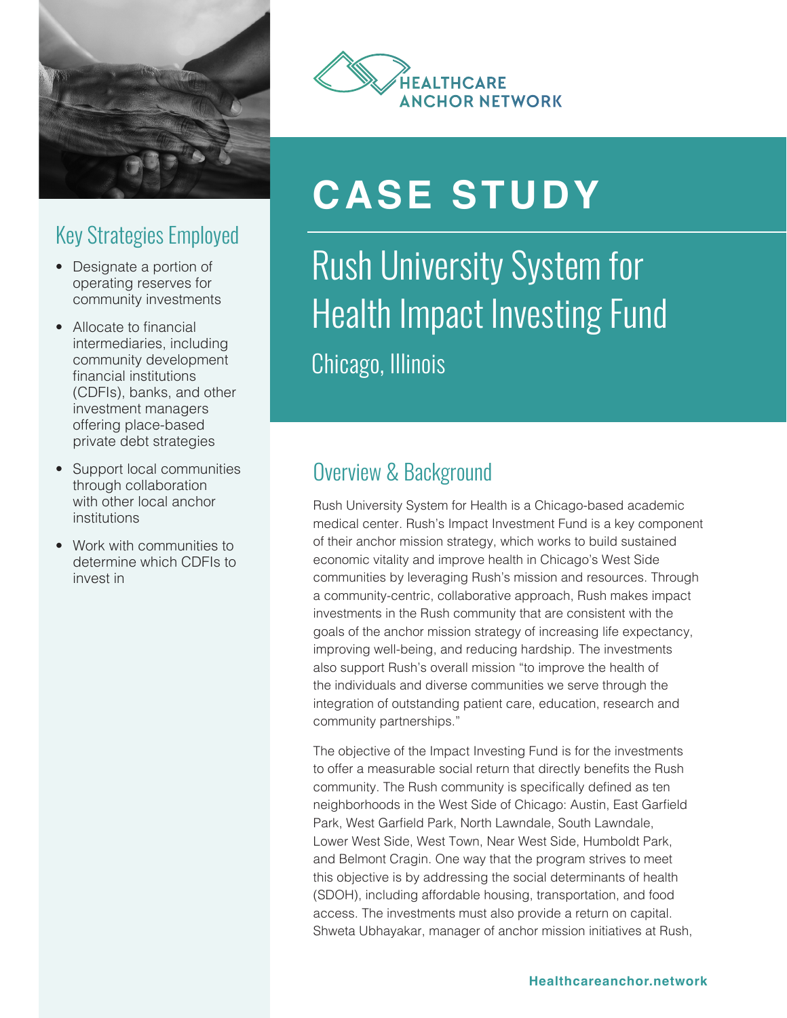

## Key Strategies Employed

- Designate a portion of operating reserves for community investments
- Allocate to financial intermediaries, including community development financial institutions (CDFIs), banks, and other investment managers offering place-based private debt strategies
- Support local communities through collaboration with other local anchor institutions
- Work with communities to determine which CDFIs to invest in



# **CASE STUDY**

## Rush University System for Health Impact Investing Fund Chicago, Illinois

## Overview & Background

Rush University System for Health is a Chicago-based academic medical center. Rush's Impact Investment Fund is a key component of their anchor mission strategy, which works to build sustained economic vitality and improve health in Chicago's West Side communities by leveraging Rush's mission and resources. Through a community-centric, collaborative approach, Rush makes impact investments in the Rush community that are consistent with the goals of the anchor mission strategy of increasing life expectancy, improving well-being, and reducing hardship. The investments also support Rush's overall mission "to improve the health of the individuals and diverse communities we serve through the integration of outstanding patient care, education, research and community partnerships."

The objective of the Impact Investing Fund is for the investments to offer a measurable social return that directly benefits the Rush community. The Rush community is specifically defined as ten neighborhoods in the West Side of Chicago: Austin, East Garfield Park, West Garfield Park, North Lawndale, South Lawndale, Lower West Side, West Town, Near West Side, Humboldt Park, and Belmont Cragin. One way that the program strives to meet this objective is by addressing the social determinants of health (SDOH), including affordable housing, transportation, and food access. The investments must also provide a return on capital. Shweta Ubhayakar, manager of anchor mission initiatives at Rush,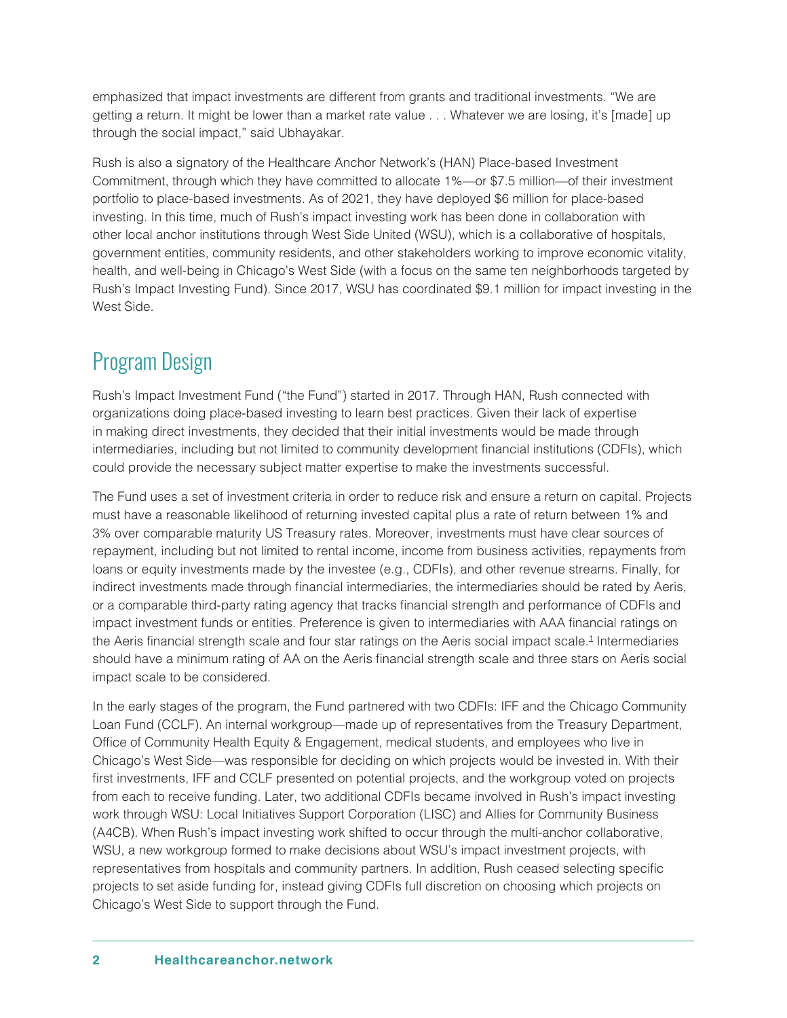<span id="page-1-0"></span>emphasized that impact investments are different from grants and traditional investments. "We are getting a return. It might be lower than a market rate value . . . Whatever we are losing, it's [made] up through the social impact," said Ubhayakar.

Rush is also a signatory of the Healthcare Anchor Network's (HAN) Place-based Investment Commitment, through which they have committed to allocate 1%—or \$7.5 million—of their investment portfolio to place-based investments. As of 2021, they have deployed \$6 million for place-based investing. In this time, much of Rush's impact investing work has been done in collaboration with other local anchor institutions through West Side United (WSU), which is a collaborative of hospitals, government entities, community residents, and other stakeholders working to improve economic vitality, health, and well-being in Chicago's West Side (with a focus on the same ten neighborhoods targeted by Rush's Impact Investing Fund). Since 2017, WSU has coordinated \$9.1 million for impact investing in the West Side.

#### Program Design

Rush's Impact Investment Fund ("the Fund") started in 2017. Through HAN, Rush connected with organizations doing place-based investing to learn best practices. Given their lack of expertise in making direct investments, they decided that their initial investments would be made through intermediaries, including but not limited to community development financial institutions (CDFIs), which could provide the necessary subject matter expertise to make the investments successful.

The Fund uses a set of investment criteria in order to reduce risk and ensure a return on capital. Projects must have a reasonable likelihood of returning invested capital plus a rate of return between 1% and 3% over comparable maturity US Treasury rates. Moreover, investments must have clear sources of repayment, including but not limited to rental income, income from business activities, repayments from loans or equity investments made by the investee (e.g., CDFIs), and other revenue streams. Finally, for indirect investments made through financial intermediaries, the intermediaries should be rated by Aeris, or a comparable third-party rating agency that tracks financial strength and performance of CDFIs and impact investment funds or entities. Preference is given to intermediaries with AAA financial ratings on the Aeris financial strength scale and four star ratings on the Aeris social impact scale.<sup>[1](#page-6-0)</sup> Intermediaries should have a minimum rating of AA on the Aeris financial strength scale and three stars on Aeris social impact scale to be considered.

In the early stages of the program, the Fund partnered with two CDFIs: IFF and the Chicago Community Loan Fund (CCLF). An internal workgroup—made up of representatives from the Treasury Department, Office of Community Health Equity & Engagement, medical students, and employees who live in Chicago's West Side—was responsible for deciding on which projects would be invested in. With their first investments, IFF and CCLF presented on potential projects, and the workgroup voted on projects from each to receive funding. Later, two additional CDFIs became involved in Rush's impact investing work through WSU: Local Initiatives Support Corporation (LISC) and Allies for Community Business (A4CB). When Rush's impact investing work shifted to occur through the multi-anchor collaborative, WSU, a new workgroup formed to make decisions about WSU's impact investment projects, with representatives from hospitals and community partners. In addition, Rush ceased selecting specific projects to set aside funding for, instead giving CDFIs full discretion on choosing which projects on Chicago's West Side to support through the Fund.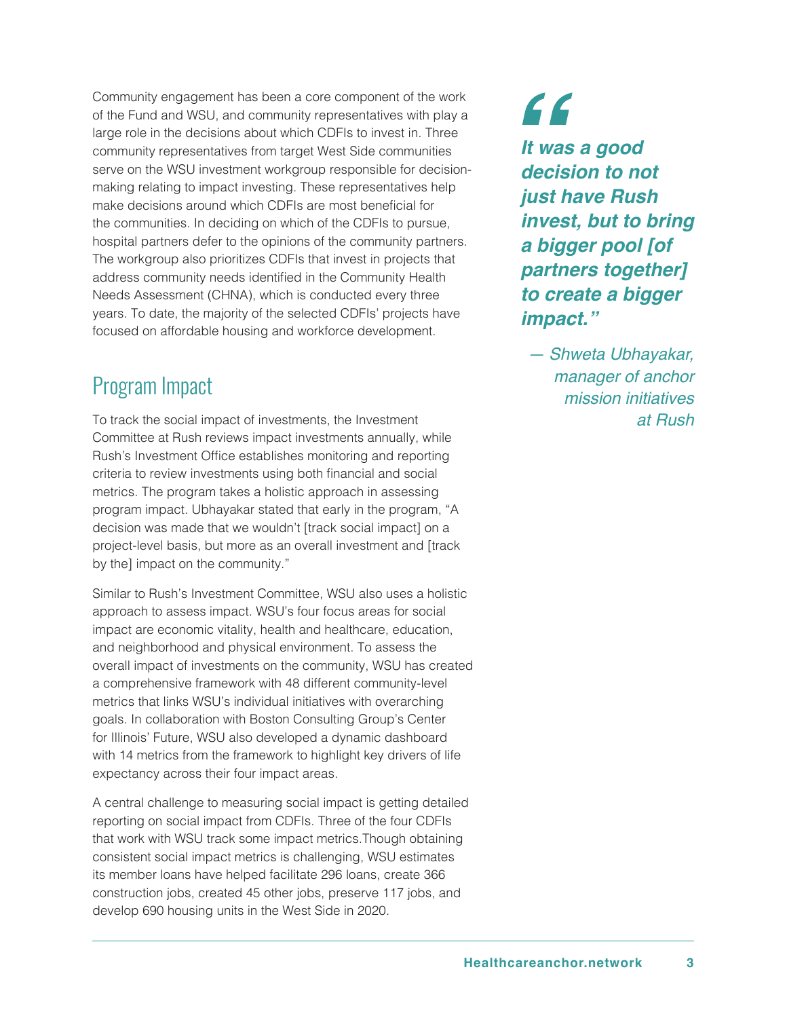Community engagement has been a core component of the work of the Fund and WSU, and community representatives with play a large role in the decisions about which CDFIs to invest in. Three community representatives from target West Side communities serve on the WSU investment workgroup responsible for decisionmaking relating to impact investing. These representatives help make decisions around which CDFIs are most beneficial for the communities. In deciding on which of the CDFIs to pursue, hospital partners defer to the opinions of the community partners. The workgroup also prioritizes CDFIs that invest in projects that address community needs identified in the Community Health Needs Assessment (CHNA), which is conducted every three years. To date, the majority of the selected CDFIs' projects have focused on affordable housing and workforce development.

## Program Impact

To track the social impact of investments, the Investment Committee at Rush reviews impact investments annually, while Rush's Investment Office establishes monitoring and reporting criteria to review investments using both financial and social metrics. The program takes a holistic approach in assessing program impact. Ubhayakar stated that early in the program, "A decision was made that we wouldn't [track social impact] on a project-level basis, but more as an overall investment and [track by the] impact on the community."

Similar to Rush's Investment Committee, WSU also uses a holistic approach to assess impact. WSU's four focus areas for social impact are economic vitality, health and healthcare, education, and neighborhood and physical environment. To assess the overall impact of investments on the community, WSU has created a comprehensive framework with 48 different community-level metrics that links WSU's individual initiatives with overarching goals. In collaboration with Boston Consulting Group's Center for Illinois' Future, WSU also developed a dynamic dashboard with 14 metrics from the framework to highlight key drivers of life expectancy across their four impact areas.

A central challenge to measuring social impact is getting detailed reporting on social impact from CDFIs. Three of the four CDFIs that work with WSU track some impact metrics.Though obtaining consistent social impact metrics is challenging, WSU estimates its member loans have helped facilitate 296 loans, create 366 construction jobs, created 45 other jobs, preserve 117 jobs, and develop 690 housing units in the West Side in 2020.

 $66$ *It was a good decision to not just have Rush invest, but to bring a bigger pool [of partners together] to create a bigger impact."* 

*— Shweta Ubhayakar, manager of anchor mission initiatives at Rush*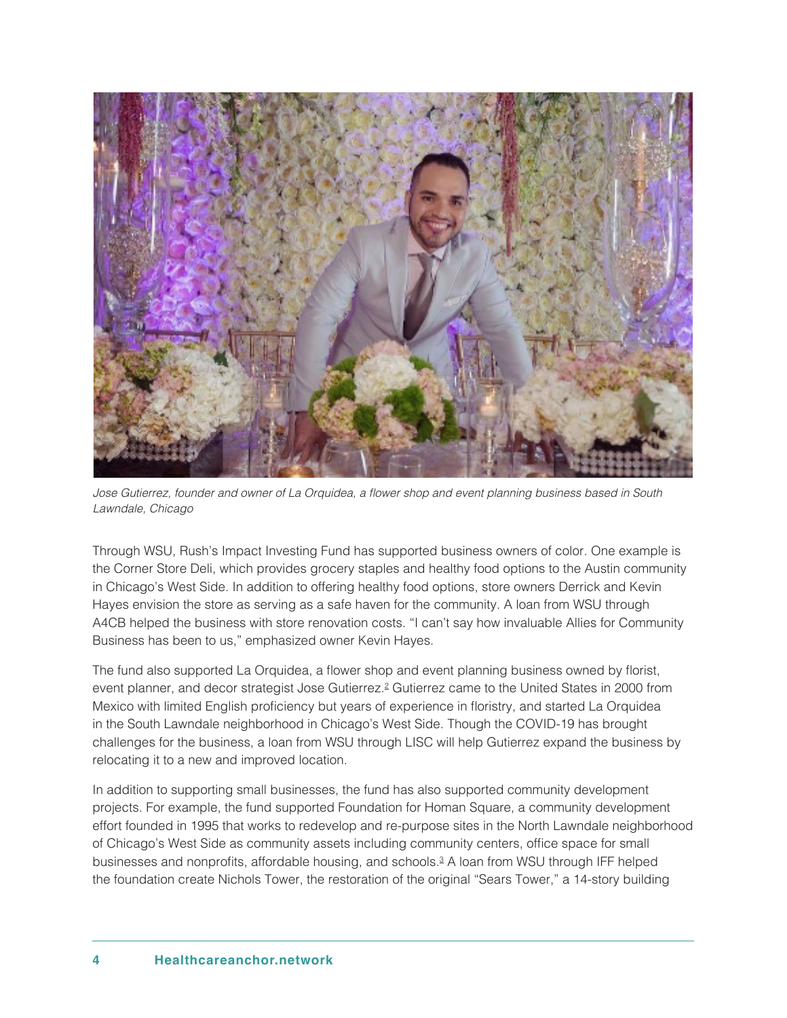<span id="page-3-0"></span>

Jose Gutierrez, founder and owner of La Orquidea, a flower shop and event planning business based in South Lawndale, Chicago

Through WSU, Rush's Impact Investing Fund has supported business owners of color. One example is the Corner Store Deli, which provides grocery staples and healthy food options to the Austin community in Chicago's West Side. In addition to offering healthy food options, store owners Derrick and Kevin Hayes envision the store as serving as a safe haven for the community. A loan from WSU through A4CB helped the business with store renovation costs. "I can't say how invaluable Allies for Community Business has been to us," emphasized owner Kevin Hayes.

The fund also supported La Orquidea, a flower shop and event planning business owned by florist, event planner, and decor strategist Jose Gutierrez.<sup>2</sup> Gutierrez came to the United States in 2000 from Mexico with limited English proficiency but years of experience in floristry, and started La Orquidea in the South Lawndale neighborhood in Chicago's West Side. Though the COVID-19 has brought challenges for the business, a loan from WSU through LISC will help Gutierrez expand the business by relocating it to a new and improved location.

In addition to supporting small businesses, the fund has also supported community development projects. For example, the fund supported Foundation for Homan Square, a community development effort founded in 1995 that works to redevelop and re-purpose sites in the North Lawndale neighborhood of Chicago's West Side as community assets including community centers, office space for small businesses and nonprofits, affordable housing, and schools.[3](#page-6-0) A loan from WSU through IFF helped the foundation create Nichols Tower, the restoration of the original "Sears Tower," a 14-story building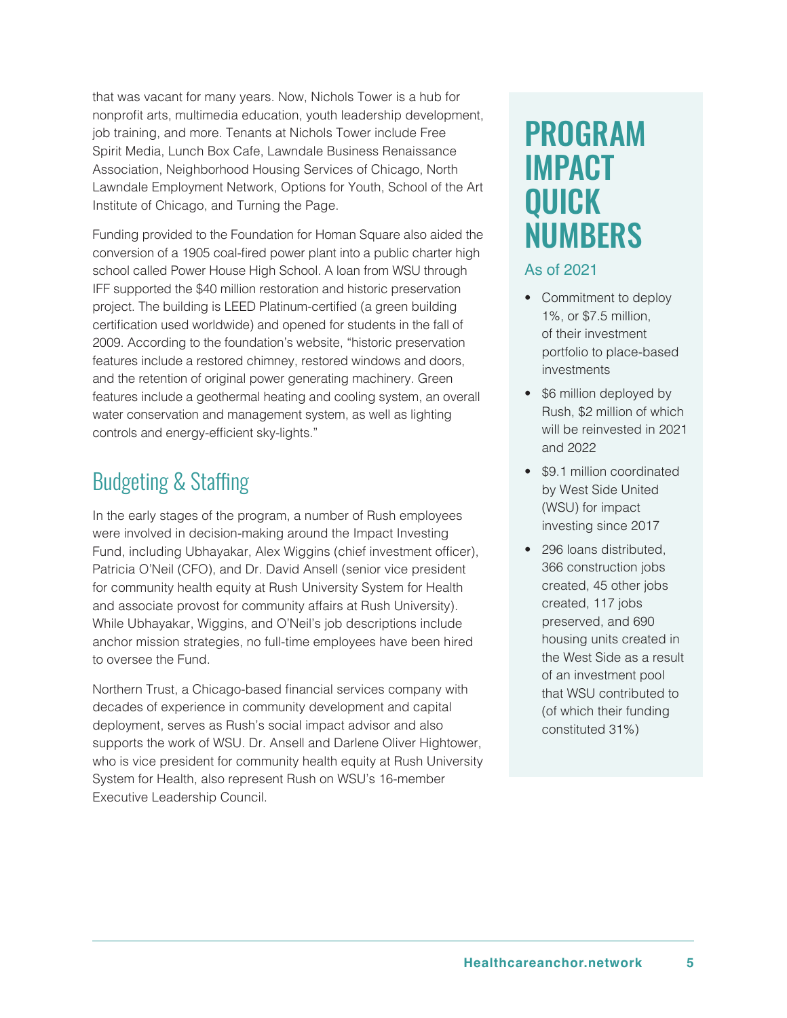that was vacant for many years. Now, Nichols Tower is a hub for nonprofit arts, multimedia education, youth leadership development, job training, and more. Tenants at Nichols Tower include Free Spirit Media, Lunch Box Cafe, Lawndale Business Renaissance Association, Neighborhood Housing Services of Chicago, North Lawndale Employment Network, Options for Youth, School of the Art Institute of Chicago, and Turning the Page.

Funding provided to the Foundation for Homan Square also aided the conversion of a 1905 coal-fired power plant into a public charter high school called Power House High School. A loan from WSU through IFF supported the \$40 million restoration and historic preservation project. The building is LEED Platinum-certified (a green building certification used worldwide) and opened for students in the fall of 2009. According to the foundation's website, "historic preservation features include a restored chimney, restored windows and doors, and the retention of original power generating machinery. Green features include a geothermal heating and cooling system, an overall water conservation and management system, as well as lighting controls and energy-efficient sky-lights."

## Budgeting & Staffing

In the early stages of the program, a number of Rush employees were involved in decision-making around the Impact Investing Fund, including Ubhayakar, Alex Wiggins (chief investment officer), Patricia O'Neil (CFO), and Dr. David Ansell (senior vice president for community health equity at Rush University System for Health and associate provost for community affairs at Rush University). While Ubhayakar, Wiggins, and O'Neil's job descriptions include anchor mission strategies, no full-time employees have been hired to oversee the Fund.

Northern Trust, a Chicago-based financial services company with decades of experience in community development and capital deployment, serves as Rush's social impact advisor and also supports the work of WSU. Dr. Ansell and Darlene Oliver Hightower, who is vice president for community health equity at Rush University System for Health, also represent Rush on WSU's 16-member Executive Leadership Council.

## PROGRAM IMPACT QUICK NUMBERS

#### As of 2021

- Commitment to deploy 1%, or \$7.5 million, of their investment portfolio to place-based investments
- \$6 million deployed by Rush, \$2 million of which will be reinvested in 2021 and 2022
- \$9.1 million coordinated by West Side United (WSU) for impact investing since 2017
- 296 loans distributed, 366 construction jobs created, 45 other jobs created, 117 jobs preserved, and 690 housing units created in the West Side as a result of an investment pool that WSU contributed to (of which their funding constituted 31%)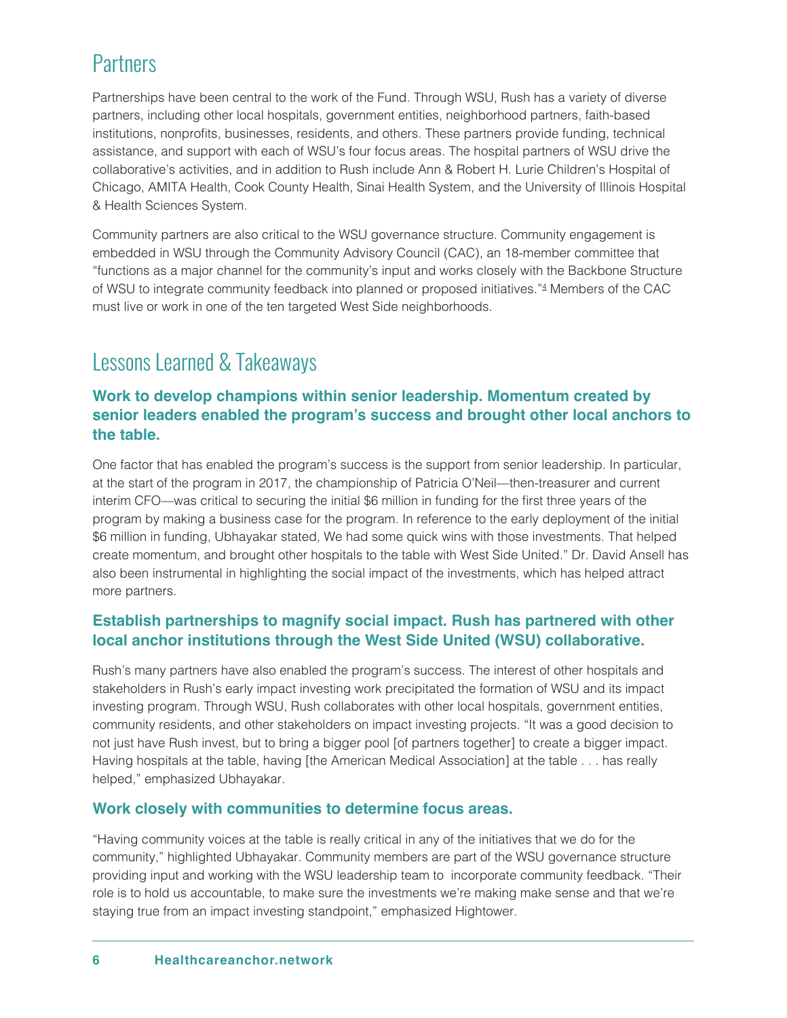### <span id="page-5-0"></span>**Partners**

Partnerships have been central to the work of the Fund. Through WSU, Rush has a variety of diverse partners, including other local hospitals, government entities, neighborhood partners, faith-based institutions, nonprofits, businesses, residents, and others. These partners provide funding, technical assistance, and support with each of WSU's four focus areas. The hospital partners of WSU drive the collaborative's activities, and in addition to Rush include Ann & Robert H. Lurie Children's Hospital of Chicago, AMITA Health, Cook County Health, Sinai Health System, and the University of Illinois Hospital & Health Sciences System.

Community partners are also critical to the WSU governance structure. Community engagement is embedded in WSU through the Community Advisory Council (CAC), an 18-member committee that "functions as a major channel for the community's input and works closely with the Backbone Structure of WSU to integrate community feedback into planned or proposed initiatives.["4](#page-6-0) Members of the CAC must live or work in one of the ten targeted West Side neighborhoods.

### Lessons Learned & Takeaways

#### **Work to develop champions within senior leadership. Momentum created by senior leaders enabled the program's success and brought other local anchors to the table.**

One factor that has enabled the program's success is the support from senior leadership. In particular, at the start of the program in 2017, the championship of Patricia O'Neil—then-treasurer and current interim CFO—was critical to securing the initial \$6 million in funding for the first three years of the program by making a business case for the program. In reference to the early deployment of the initial \$6 million in funding, Ubhayakar stated, We had some quick wins with those investments. That helped create momentum, and brought other hospitals to the table with West Side United." Dr. David Ansell has also been instrumental in highlighting the social impact of the investments, which has helped attract more partners.

#### **Establish partnerships to magnify social impact. Rush has partnered with other local anchor institutions through the West Side United (WSU) collaborative.**

Rush's many partners have also enabled the program's success. The interest of other hospitals and stakeholders in Rush's early impact investing work precipitated the formation of WSU and its impact investing program. Through WSU, Rush collaborates with other local hospitals, government entities, community residents, and other stakeholders on impact investing projects. "It was a good decision to not just have Rush invest, but to bring a bigger pool [of partners together] to create a bigger impact. Having hospitals at the table, having [the American Medical Association] at the table . . . has really helped," emphasized Ubhayakar.

#### **Work closely with communities to determine focus areas.**

"Having community voices at the table is really critical in any of the initiatives that we do for the community," highlighted Ubhayakar. Community members are part of the WSU governance structure providing input and working with the WSU leadership team to incorporate community feedback. "Their role is to hold us accountable, to make sure the investments we're making make sense and that we're staying true from an impact investing standpoint," emphasized Hightower.